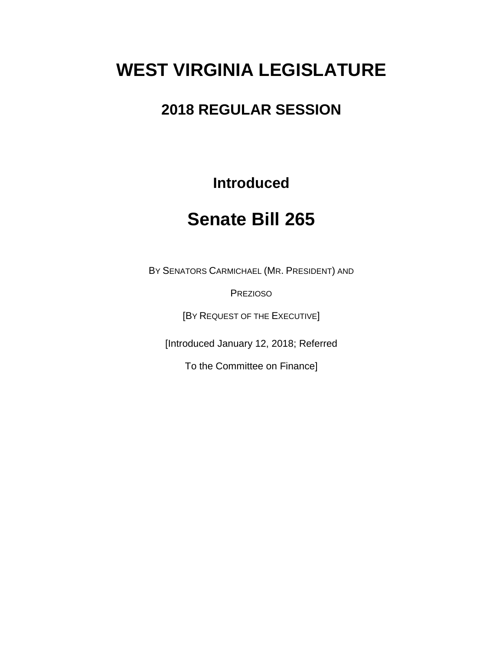# **WEST VIRGINIA LEGISLATURE**

## **2018 REGULAR SESSION**

### **Introduced**

## **Senate Bill 265**

BY SENATORS CARMICHAEL (MR. PRESIDENT) AND

PREZIOSO

[BY REQUEST OF THE EXECUTIVE]

[Introduced January 12, 2018; Referred

To the Committee on Finance]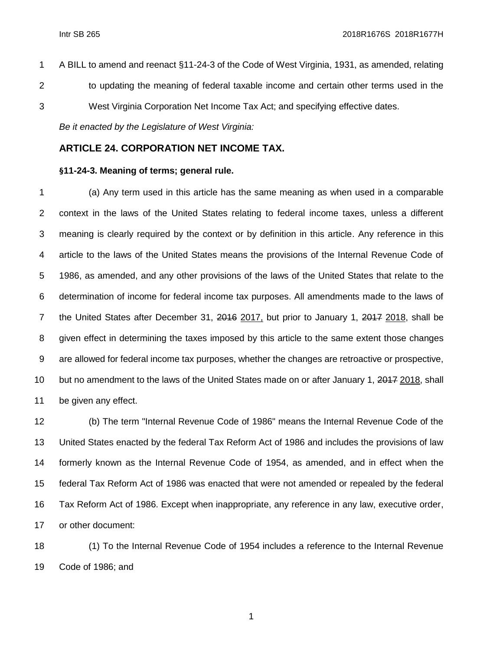A BILL to amend and reenact §11-24-3 of the Code of West Virginia, 1931, as amended, relating to updating the meaning of federal taxable income and certain other terms used in the West Virginia Corporation Net Income Tax Act; and specifying effective dates.

*Be it enacted by the Legislature of West Virginia:*

### **ARTICLE 24. CORPORATION NET INCOME TAX.**

#### **§11-24-3. Meaning of terms; general rule.**

 (a) Any term used in this article has the same meaning as when used in a comparable context in the laws of the United States relating to federal income taxes, unless a different meaning is clearly required by the context or by definition in this article. Any reference in this article to the laws of the United States means the provisions of the Internal Revenue Code of 1986, as amended, and any other provisions of the laws of the United States that relate to the determination of income for federal income tax purposes. All amendments made to the laws of 7 the United States after December 31, 2016 2017, but prior to January 1, 2017 2018, shall be given effect in determining the taxes imposed by this article to the same extent those changes are allowed for federal income tax purposes, whether the changes are retroactive or prospective, 10 but no amendment to the laws of the United States made on or after January 1, 2017 2018, shall be given any effect.

 (b) The term "Internal Revenue Code of 1986" means the Internal Revenue Code of the United States enacted by the federal Tax Reform Act of 1986 and includes the provisions of law formerly known as the Internal Revenue Code of 1954, as amended, and in effect when the federal Tax Reform Act of 1986 was enacted that were not amended or repealed by the federal Tax Reform Act of 1986. Except when inappropriate, any reference in any law, executive order, or other document:

 (1) To the Internal Revenue Code of 1954 includes a reference to the Internal Revenue Code of 1986; and